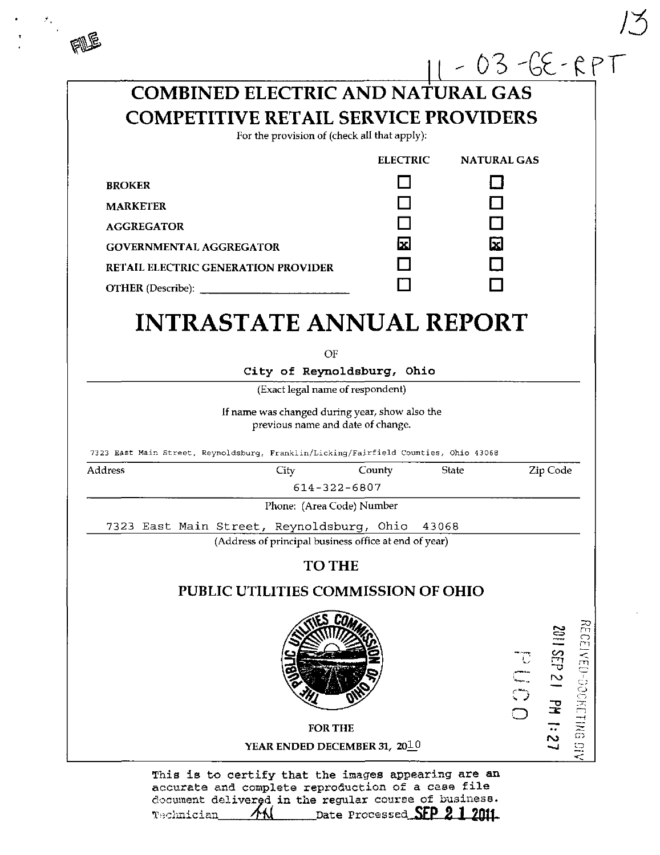

 $\epsilon$ 

|                                                                                                    |                 |              | $-03 - 65 - RPT$                               |
|----------------------------------------------------------------------------------------------------|-----------------|--------------|------------------------------------------------|
| <b>COMBINED ELECTRIC AND NATURAL GAS</b>                                                           |                 |              |                                                |
| <b>COMPETITIVE RETAIL SERVICE PROVIDERS</b>                                                        |                 |              |                                                |
| For the provision of (check all that apply):                                                       |                 |              |                                                |
|                                                                                                    | <b>ELECTRIC</b> |              | <b>NATURAL GAS</b>                             |
| <b>BROKER</b>                                                                                      |                 |              |                                                |
| <b>MARKETER</b>                                                                                    |                 |              |                                                |
| <b>AGGREGATOR</b>                                                                                  |                 |              |                                                |
| <b>GOVERNMENTAL AGGREGATOR</b>                                                                     | 囟               | ⊠            |                                                |
| RETAIL ELECTRIC GENERATION PROVIDER                                                                |                 |              |                                                |
|                                                                                                    |                 |              |                                                |
| OF                                                                                                 |                 |              |                                                |
|                                                                                                    |                 |              |                                                |
| City of Reynoldsburg, Ohio<br>(Exact legal name of respondent)                                     |                 |              |                                                |
| If name was changed during year, show also the<br>previous name and date of change.                |                 |              |                                                |
| 7323 East Main Street, Reynoldsburg, Franklin/Licking/Fairfield Counties, Ohio 43068               |                 |              |                                                |
| <b>Address</b><br>City                                                                             | County          | <b>State</b> | Zip Code                                       |
| 614-322-6807                                                                                       |                 |              |                                                |
| Phone: (Area Code) Number                                                                          |                 |              |                                                |
| 7323 East Main Street, Reynoldsburg, Ohio<br>(Address of principal business office at end of year) |                 | 43068        |                                                |
|                                                                                                    |                 |              |                                                |
| <b>TO THE</b><br>PUBLIC UTILITIES COMMISSION OF OHIO                                               |                 |              |                                                |
| <b>FOR THE</b>                                                                                     |                 |              | RECEIVED-000RETING DIV<br>2011 SEP 21 PM 1: 27 |

/3

accurate and complete reproduction of a case file document delivered in the regular course of business. Technician TM Date Processed SEP 2 1 2011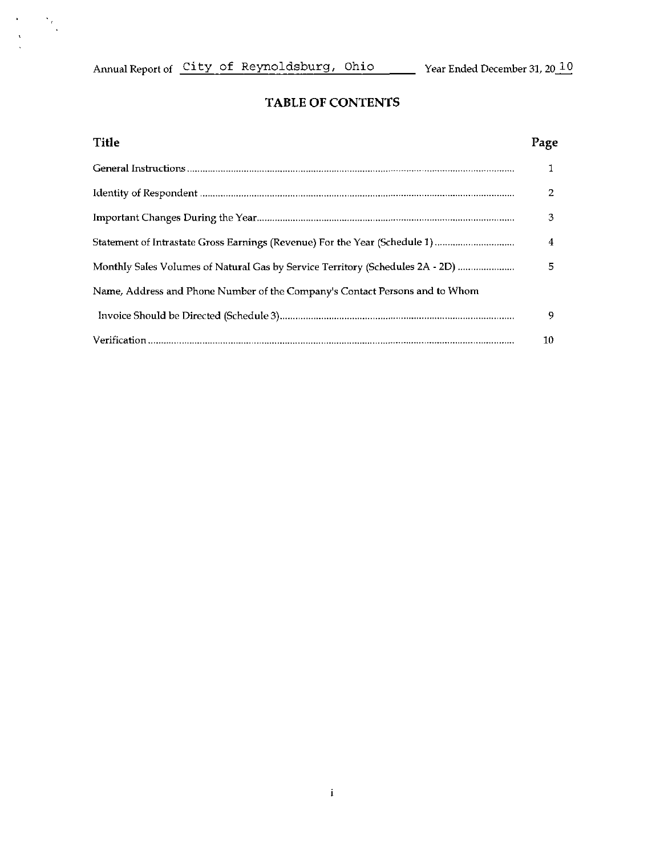$\frac{1}{2}$ 

 $\hat{\mathbf{r}}$ 

# TABLE OF CONTENTS

| Title                                                                         | Page           |
|-------------------------------------------------------------------------------|----------------|
|                                                                               | 1              |
|                                                                               | 2              |
|                                                                               | 3              |
|                                                                               | $\overline{4}$ |
| Monthly Sales Volumes of Natural Gas by Service Territory (Schedules 2A - 2D) | 5              |
| Name, Address and Phone Number of the Company's Contact Persons and to Whom   |                |
|                                                                               | 9              |
|                                                                               | 10             |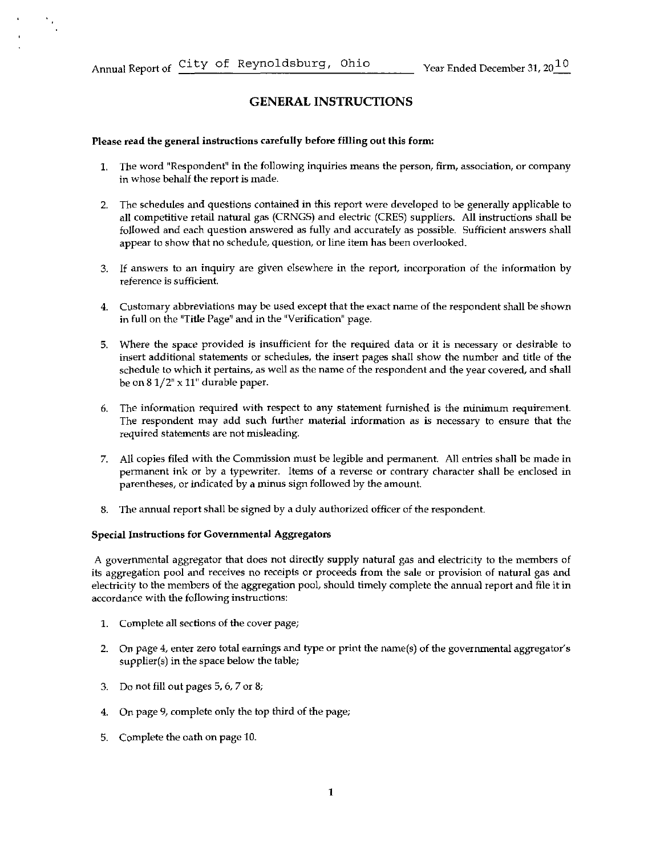Annual Report of  $City$  of Reynoldsburg, Ohio Year Ended December 31, 20<sup>10</sup>

# GENERAL INSTRUCTIONS

#### Please read the general instructions carefully before filling out this form:

- 1. The word "Respondent" in the following inquiries means the person, firm, association, or company in whose behalf the report is made.
- 2. The schedules and questions contained in this report were developed to be generally applicable to all competitive retail natural gas (CRNGS) and electric (CRES) suppliers. All instructions shall be followed and each question answered as fully and accurately as possible. Sufficient answers shall appear to show that no schedule, question, or line item has been overlooked.
- 3. If answers to an inquiry are given elsewhere in the report, incorporation of the information by reference is sufficient.
- 4. Customary abbreviations may be used except that the exact name of the respondent shall be shown in full on the "Title Page" and in the "Verification" page.
- 5. Where the space provided is insufficient for the required data or it is necessary or desirable to insert additional statements or schedules, the insert pages shall show the number and title of the schedule to which it pertains, as well as the name of the respondent and the year covered, and shall be on  $8 \frac{1}{2}$ " x  $11$ " durable paper.
- 6. The information required with respect to any statement furnished is the minimum requirement. The respondent may add such further material information as is necessary to ensure that the required statements are not misleading.
- 7. All copies filed with the Commission must be legible and permanent. All entries shall be made in permanent ink or by a typewriter. Items of a reverse or contrary character shall be enclosed in parentheses, or indicated by a minus sign followed by the amount.
- 8. The annual report shall be signed by a duly authorized officer of the respondent

#### Special Instructions for Governmental Aggregators

A governmental aggregator that does not directly supply natural gas and electricity to the members of its aggregation pool and receives no receipts or proceeds from the sale or provision of natural gas and electricity to the members of the aggregation pool, should timely complete the annual report and tile it in accordance with the following instructions:

- 1. Complete all sections of the cover page;
- 2. On page 4, enter zero total earnings and type or print the name(s) of the governmental aggregator's supplier(s) in the space below the table;
- 3. Do not fill out pages 5, 6, 7 or 8;
- 4. On page 9, complete only the top third of the page;
- 5. Complete the oath on page 10.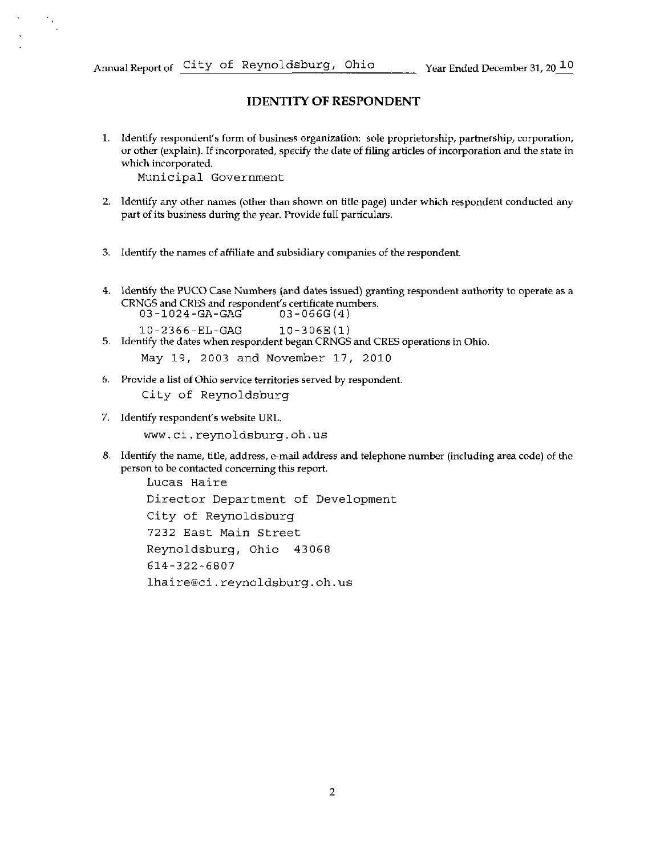Annual Report of City of Reynoldsburg, Ohio Year Ended December 31, 20  $10$ 

# IDENTITY OF RESPONDENT

1. Identify respondent's form of business organization; sole proprietorship, partnership, corporation, or other (explain). If incorporated, specify the date of filing articles of incorporation and the state in which incorporated.

Municipal Government

÷.

- 2. Identify any other names (other than shown on title page) under which respondent conducted any part of its business during the year. Provide full particulars.
- 3. Identify the names of affiliate and subsidiary companies of the respondent.
- 4. Identify the PUCO Case Numbers (and dates issued) granting respondent authority to operate as a CRNGS and CRES and respondent's certificate numbers.<br> $03 - 1024 - GA - GAG$   $03 - 066G(4)$  $03 - 1024 - GA - GAG$

 $10-2366$ -EL-GAG  $10-306E(1)$ 

5. Identify the dates when respondent began CRNGS and CRES operations in Ohio.

May 19, 2003 and November 17, 2010

- 6. Provide a list of Ohio service territories served by respondent. City of Reynoldsburg
- 7. Identify respondent's website URL.

[www.ci.reynoldsburg.oh.us](http://www.ci.reynoldsburg.oh.us) 

8. Identify the name, title, address, e-mail address and telephone number (including area code) of the person to be contacted concerning this report.

Lucas Haire Director Department of Development City of Reynoldsburg 7232 East Main Street Reynoldsburg, Ohio 43 068 614-322-6807 [lhaire@ci.reynoldsburg.oh.us](mailto:lhaire@ci.reynoldsburg.oh.us) 

 $\overline{2}$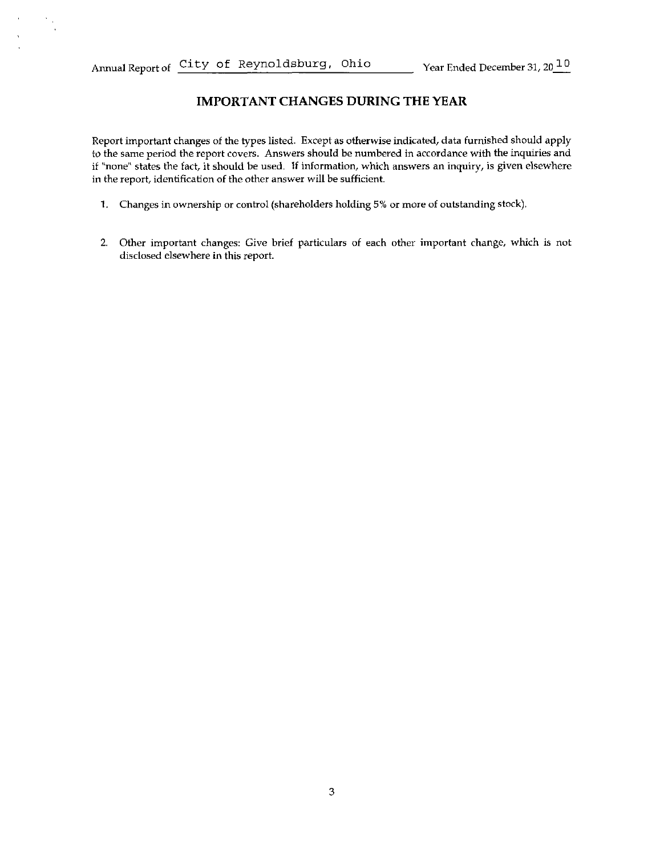# IMPORTANT CHANGES DURING THE YEAR

Report important changes of the types listed. Except as otherwise indicated, data furnished should apply to the same period the report covers. Answers should be numbered in accordance with the inquiries and if "none" states the fact, it should be used. If information, which answers an inquiry, is given elsewhere in the report, identification of the other answer will be sufficient

- 1. Changes in ownership or control (shareholders holding 5% or more of outstanding stock).
- 2. Other important changes; Give brief particulars of each other important change, which is not disclosed elsewhere in this report.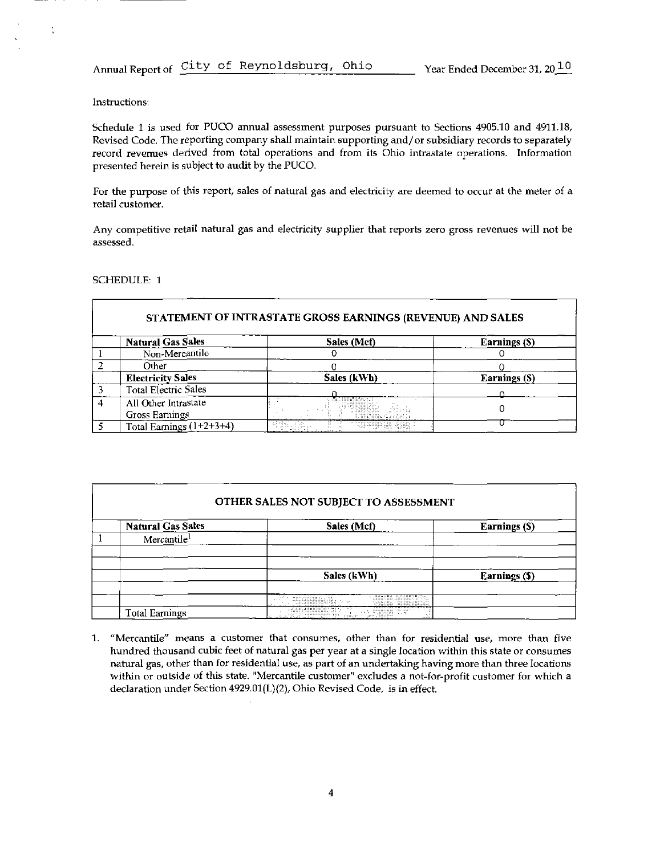#### Instructions:

 $\ddot{\cdot}$ 

Schedule 1 is used for PUCO annual assessment purposes pursuant to Sections 4905.10 and 4911.18, Revised Code. The reporting company shall maintain supporting and/or subsidiary records to separately record revenues derived from total operations and from its Ohio intiastate operations. Information presented herein is subject to audit by the PUCO.

For the purpose of this report, sales of natural gas and electricity are deemed to occur at the meter of a retail customer.

Any competitive retail natural gas and electricity supplier that reports zero gross revenues will not be assessed.

#### SCHEDULE: 1

|                                        | STATEMENT OF INTRASTATE GROSS EARNINGS (REVENUE) AND SALES                            |               |
|----------------------------------------|---------------------------------------------------------------------------------------|---------------|
| <b>Natural Gas Sales</b>               | Sales (Mcf)                                                                           | Earnings (\$) |
| Non-Mercantile                         |                                                                                       |               |
| Other                                  |                                                                                       |               |
| <b>Electricity Sales</b>               | Sales (kWh)                                                                           | Earnings (\$) |
| <b>Total Electric Sales</b>            |                                                                                       |               |
| All Other Intrastate<br>Gross Earnings |                                                                                       |               |
| Total Earnings $(1+2+3+4)$             | 1.7.111<br>RESIDED DR RESIDED<br>ಾಯಿದ ಸಂಗೀತವಾಸ<br>.<br>$\sim$<br>5.65<br>$-25.5.5.52$ |               |

|                          | OTHER SALES NOT SUBJECT TO ASSESSMENT                                                                                                                                                                                                                                   |                      |
|--------------------------|-------------------------------------------------------------------------------------------------------------------------------------------------------------------------------------------------------------------------------------------------------------------------|----------------------|
| <b>Natural Gas Sales</b> | Sales (Mcf)                                                                                                                                                                                                                                                             | <b>Earnings (\$)</b> |
| Mercantile <sup>l</sup>  |                                                                                                                                                                                                                                                                         |                      |
|                          | Sales (kWh)                                                                                                                                                                                                                                                             | Earnings (\$)        |
| Total Earnings           | <b>SACRES LIBE</b><br>$\sim$<br>common omnent com<br>, in it is considerable and a<br>I S S IS THE THE PAPE PAPER IS<br><b>CALL AND AND ADDRESS AND ADDRESS OF THE ALL COMPANY</b><br>nisistin vanandin v<br>A CALABASA CALABASA MARIAMADE<br>,,,,,,,,,,,,,,,,,,,,,,,,, |                      |

1. "Mercantile" means a customer that consumes, other than for residential use, more than five hundred thousand cubic feet of natural gas per year at a single location within this state or consumes natural gas, other than for residential use, as part of an undertaking having more than three locations within or outside of this state. "Mercantile customer" excludes a not-for-profit customer for which a declaration under Section 4929.01(L)(2), Ohio Revised Code, is in effect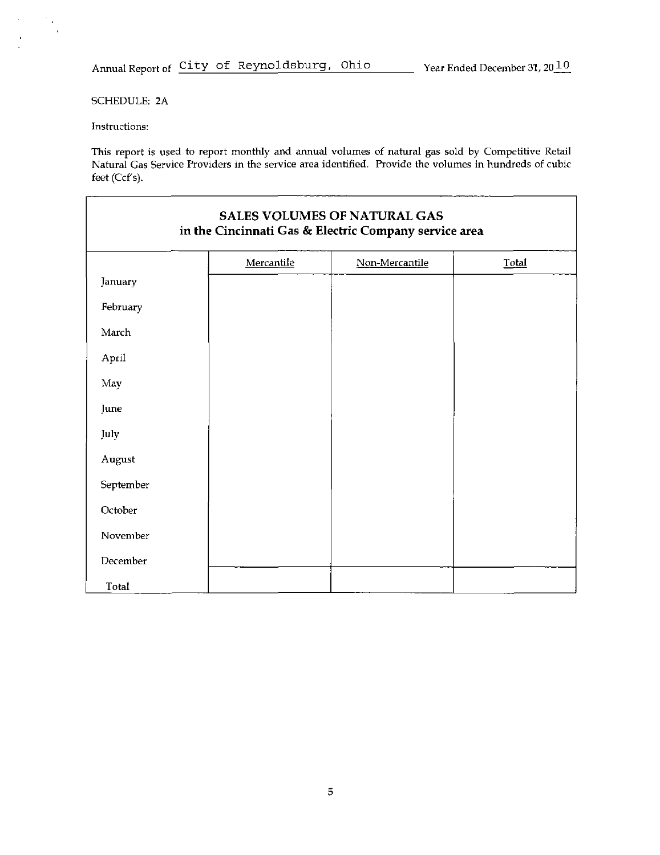# SCHEDULE: 2A

#### Instructions;

 $\hat{\mathcal{A}}$ 

 $\gamma_{\rm eff}$  $\ddot{\phantom{a}}$ 

> This report is used to report monthly and annual volumes of natural gas sold by Competitive Retail Natural Gas Service Providers in the service area identified. Provide the volumes in hundreds of cubic feet (Ccf's).

| SALES VOLUMES OF NATURAL GAS<br>in the Cincinnati Gas & Electric Company service area |            |                |       |  |  |  |
|---------------------------------------------------------------------------------------|------------|----------------|-------|--|--|--|
|                                                                                       | Mercantile | Non-Mercantile | Total |  |  |  |
| January                                                                               |            |                |       |  |  |  |
| February                                                                              |            |                |       |  |  |  |
| March                                                                                 |            |                |       |  |  |  |
| April                                                                                 |            |                |       |  |  |  |
| May                                                                                   |            |                |       |  |  |  |
| June                                                                                  |            |                |       |  |  |  |
| July                                                                                  |            |                |       |  |  |  |
| August                                                                                |            |                |       |  |  |  |
| September                                                                             |            |                |       |  |  |  |
| October                                                                               |            |                |       |  |  |  |
| November                                                                              |            |                |       |  |  |  |
| December                                                                              |            |                |       |  |  |  |
| <b>Total</b>                                                                          |            |                |       |  |  |  |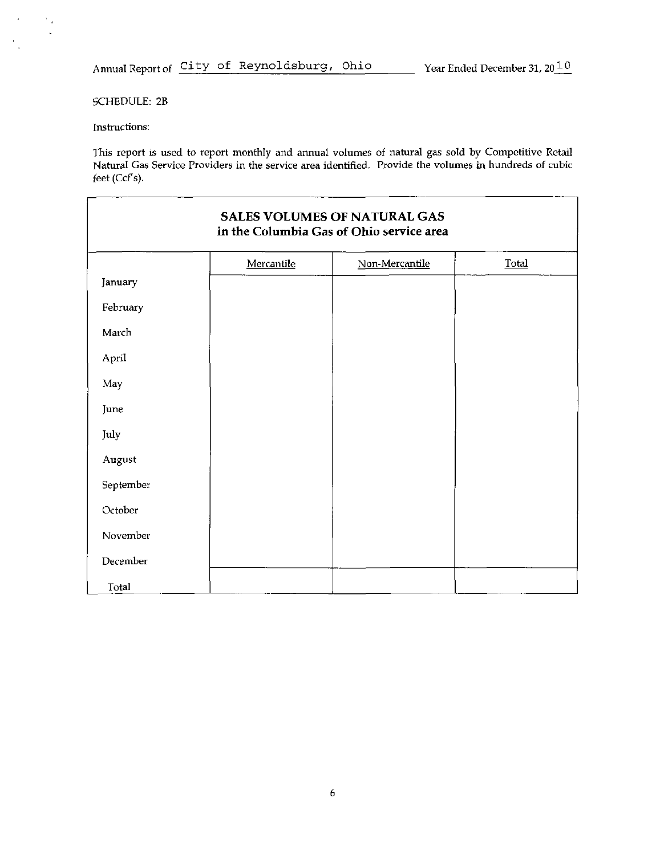# SCHEDULE; 2B

# Instructions:

 $\bar{a}$ 

 $\mathcal{F}_\text{d}$  $\ddot{\phantom{0}}$ 

> This report is used to report monthly and annual volumes of natural gas sold by Competitive Retail Natural Gas Service Providers in the service area identified. Provide the volumes in hundreds of cubic feet (Ccf's).

| <b>SALES VOLUMES OF NATURAL GAS</b><br>in the Columbia Gas of Ohio service area |            |                |              |  |  |
|---------------------------------------------------------------------------------|------------|----------------|--------------|--|--|
|                                                                                 | Mercantile | Non-Mercantile | <b>Total</b> |  |  |
| January                                                                         |            |                |              |  |  |
| February                                                                        |            |                |              |  |  |
| March                                                                           |            |                |              |  |  |
| April                                                                           |            |                |              |  |  |
| May                                                                             |            |                |              |  |  |
| June                                                                            |            |                |              |  |  |
| July                                                                            |            |                |              |  |  |
| August                                                                          |            |                |              |  |  |
| September                                                                       |            |                |              |  |  |
| October                                                                         |            |                |              |  |  |
| November                                                                        |            |                |              |  |  |
| December                                                                        |            |                |              |  |  |
| Total                                                                           |            |                |              |  |  |

6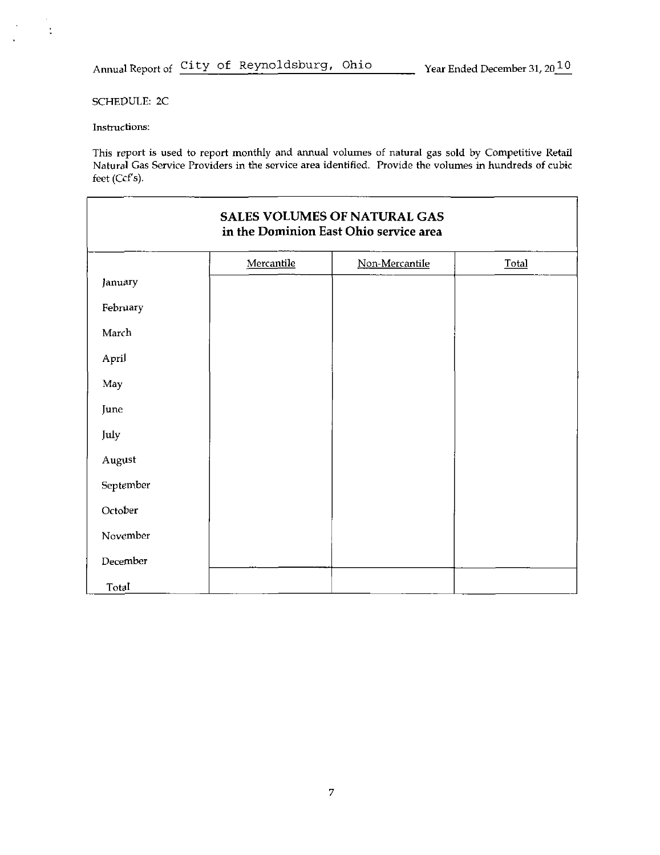h.

# SCHEDULE; 2C

# Instructions:

 $\lambda$  $\ddot{\cdot}$ 

> This report is used to report monthly and annual volumes of natural gas sold by Competitive Retail Natural Gas Service Providers in the service area identified. Provide the volumes in hundreds of cubic feet (Ccf's),

|           | Mercantile | Non-Mercantile | Total |
|-----------|------------|----------------|-------|
| January   |            |                |       |
| February  |            |                |       |
| March     |            |                |       |
| April     |            |                |       |
| May       |            |                |       |
| June      |            |                |       |
| July      |            |                |       |
| August    |            |                |       |
| September |            |                |       |
| October   |            |                |       |
| November  |            |                |       |
| December  |            |                |       |
| Total     |            |                |       |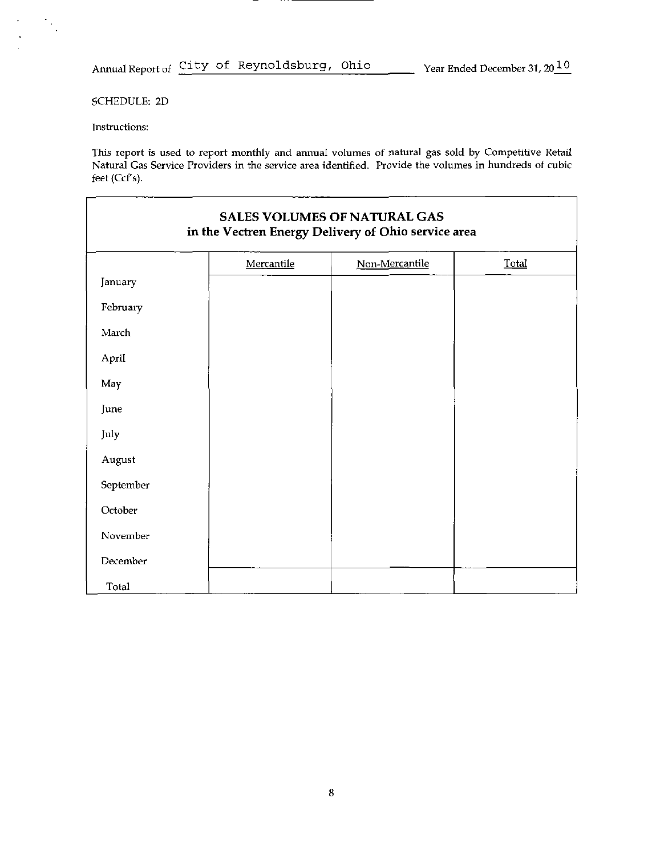# SCHEDULE; 2D

#### Instructions;

ί,

This report is used to report monthly and armual volumes of natural gas sold by Competitive Retail Natural Gas Service Providers in the service area identified. Provide the volumes in hundreds of cubic feet (Ccf's).

# SALES VOLUMES OF NATURAL GAS in the Vectren Energy Delivery of Ohio service area January February March April May June July August September October November December Total Mercantile | Non-Mercantile | Total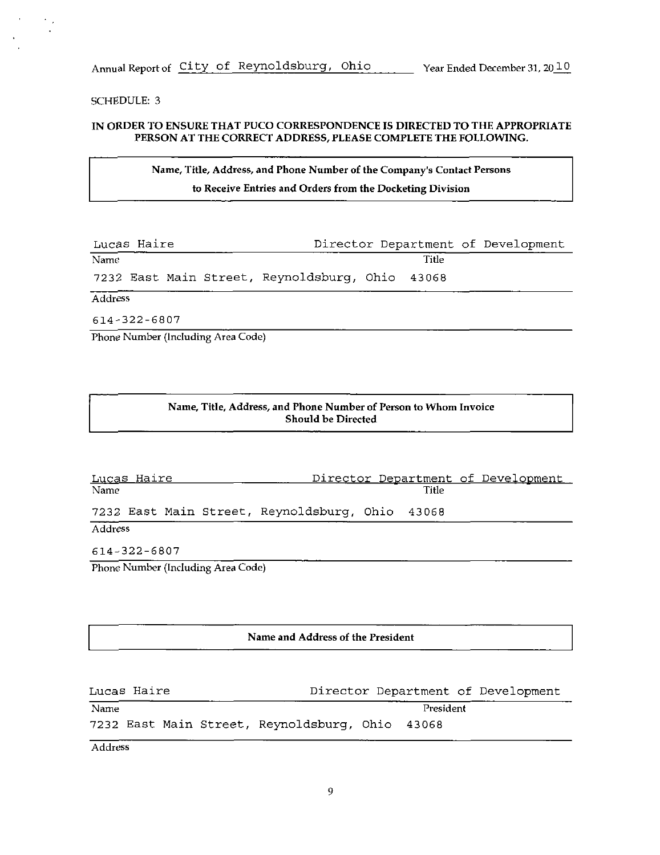Annual Report of City of Reynoldsburg, Ohio Year Ended December 31, 2010

#### SCHEDULE: 3

# IN ORDER TO ENSURE THAT PUCO CORRESPONDENCE IS DIRECTED TO THE APPROPRIATE PERSON AT THE CORRECT ADDRESS, PLEASE COMPLETE THE FOLLOWING.

# Name, Title, Address, and Phone Number of the Company's Contact Persons to Receive Entries and Orders from the Docketing Division

|                   | Lucas Haire |  |  |                                                 |  |       | Director Department of Development |
|-------------------|-------------|--|--|-------------------------------------------------|--|-------|------------------------------------|
| Name <sup>1</sup> |             |  |  |                                                 |  | Title |                                    |
|                   |             |  |  | 7232 East Main Street, Reynoldsburg, Ohio 43068 |  |       |                                    |

**Address** 

614-322-6807

Phone Number (Including Area Code)

Name, Title, Address, and Phone Number of Person to Whom Invoice Should be Directed

| Lucas Haire<br>---- |  | Director Department of Development |
|---------------------|--|------------------------------------|
| Name                |  |                                    |

7232 East Main Street, Reynoldsburg, Ohio 43068

Address

614-322-680 7

Phone Number (Including Area Code)

Name and Address of the President

|      | Lucas Haire<br>Director Department of Development |  |  |                                                 |  |           |  |
|------|---------------------------------------------------|--|--|-------------------------------------------------|--|-----------|--|
| Name |                                                   |  |  |                                                 |  | President |  |
|      |                                                   |  |  | 7232 East Main Street, Reynoldsburg, Ohio 43068 |  |           |  |

Address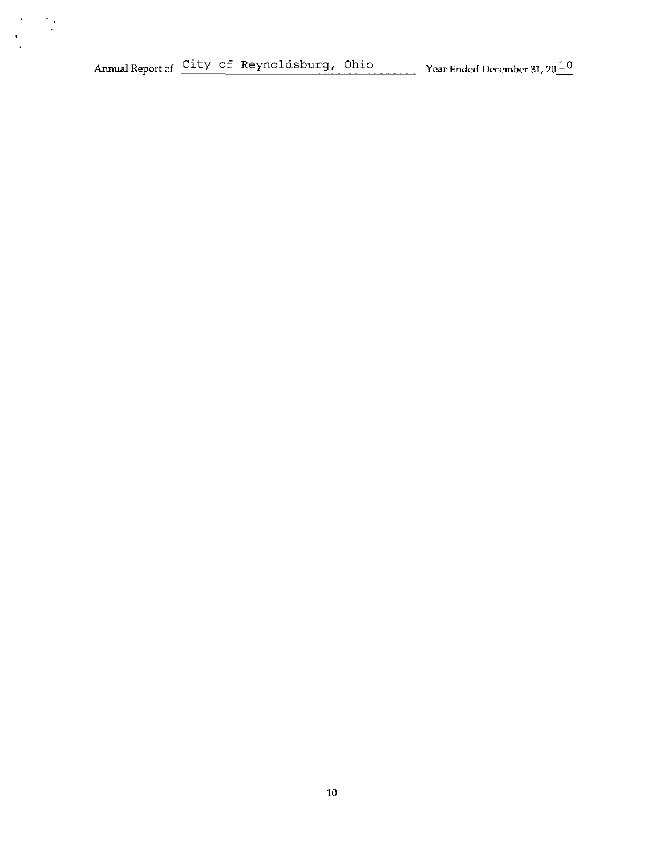Annual Report of  $City$  of Reynoldsburg, Ohio Year Ended December 31, 20 $\frac{10}{ }$ 

 $\frac{1}{2}$ 

10